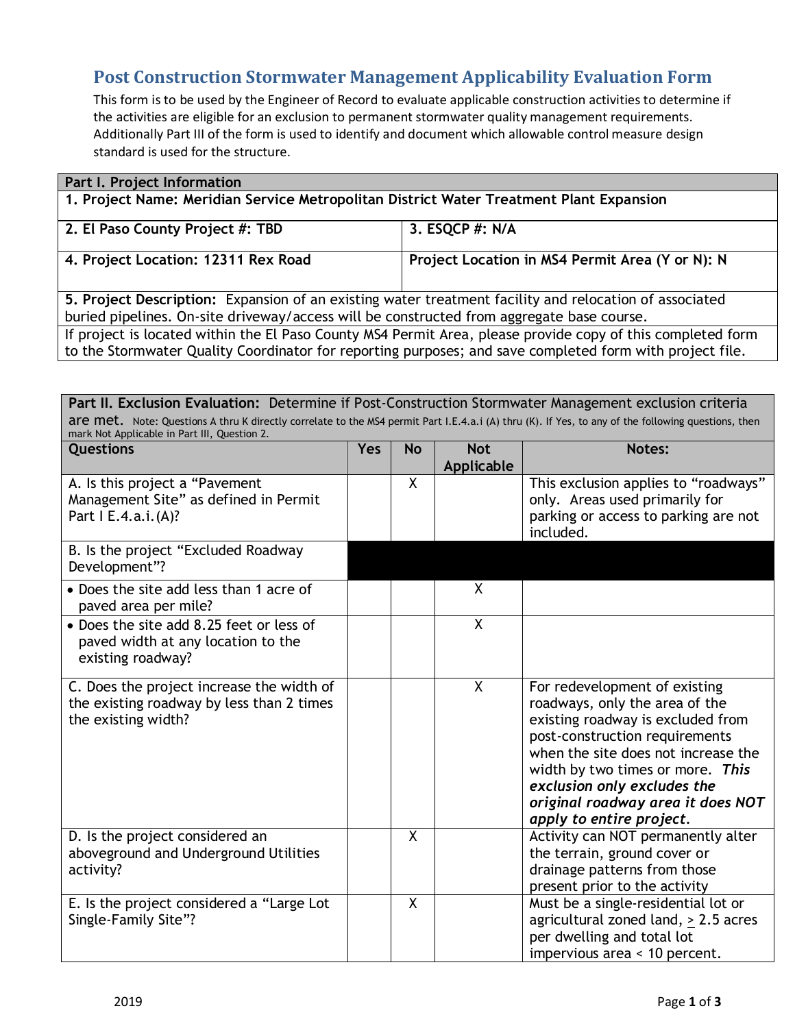## **Post Construction Stormwater Management Applicability Evaluation Form**

This form is to be used by the Engineer of Record to evaluate applicable construction activities to determine if the activities are eligible for an exclusion to permanent stormwater quality management requirements. Additionally Part III of the form is used to identify and document which allowable control measure design standard is used for the structure.

| Part I. Project Information                                                                                 |                                                 |  |  |
|-------------------------------------------------------------------------------------------------------------|-------------------------------------------------|--|--|
| 1. Project Name: Meridian Service Metropolitan District Water Treatment Plant Expansion                     |                                                 |  |  |
|                                                                                                             |                                                 |  |  |
| 2. El Paso County Project #: TBD                                                                            | 3. ESQCP #: N/A                                 |  |  |
|                                                                                                             |                                                 |  |  |
| 4. Project Location: 12311 Rex Road                                                                         | Project Location in MS4 Permit Area (Y or N): N |  |  |
|                                                                                                             |                                                 |  |  |
|                                                                                                             |                                                 |  |  |
| 5. Project Description: Expansion of an existing water treatment facility and relocation of associated      |                                                 |  |  |
| buried pipelines. On-site driveway/access will be constructed from aggregate base course.                   |                                                 |  |  |
| If project is located within the El Paso County MS4 Permit Area, please provide copy of this completed form |                                                 |  |  |
| to the Stormwater Quality Coordinator for reporting purposes; and save completed form with project file.    |                                                 |  |  |

Part II. Exclusion Evaluation: Determine if Post-Construction Stormwater Management exclusion criteria are met. Note: Questions A thru K directly correlate to the MS4 permit Part I.E.4.a.i (A) thru (K). If Yes, to any of the following questions, then mark Not Applicable in Part III, Question 2.

| Questions                                                                                                     | <b>Yes</b> | <b>No</b> | <b>Not</b><br>Applicable | Notes:                                                                                                                                                                                                                                                                                                            |
|---------------------------------------------------------------------------------------------------------------|------------|-----------|--------------------------|-------------------------------------------------------------------------------------------------------------------------------------------------------------------------------------------------------------------------------------------------------------------------------------------------------------------|
| A. Is this project a "Pavement<br>Management Site" as defined in Permit<br>Part   E.4.a.i.(A)?                |            | X         |                          | This exclusion applies to "roadways"<br>only. Areas used primarily for<br>parking or access to parking are not<br>included.                                                                                                                                                                                       |
| B. Is the project "Excluded Roadway<br>Development"?                                                          |            |           |                          |                                                                                                                                                                                                                                                                                                                   |
| • Does the site add less than 1 acre of<br>paved area per mile?                                               |            |           | X                        |                                                                                                                                                                                                                                                                                                                   |
| • Does the site add 8.25 feet or less of<br>paved width at any location to the<br>existing roadway?           |            |           | $\sf X$                  |                                                                                                                                                                                                                                                                                                                   |
| C. Does the project increase the width of<br>the existing roadway by less than 2 times<br>the existing width? |            |           | $\mathsf{X}$             | For redevelopment of existing<br>roadways, only the area of the<br>existing roadway is excluded from<br>post-construction requirements<br>when the site does not increase the<br>width by two times or more. This<br>exclusion only excludes the<br>original roadway area it does NOT<br>apply to entire project. |
| D. Is the project considered an<br>aboveground and Underground Utilities<br>activity?                         |            | X         |                          | Activity can NOT permanently alter<br>the terrain, ground cover or<br>drainage patterns from those<br>present prior to the activity                                                                                                                                                                               |
| E. Is the project considered a "Large Lot<br>Single-Family Site"?                                             |            | X         |                          | Must be a single-residential lot or<br>agricultural zoned land, > 2.5 acres<br>per dwelling and total lot<br>impervious area < 10 percent.                                                                                                                                                                        |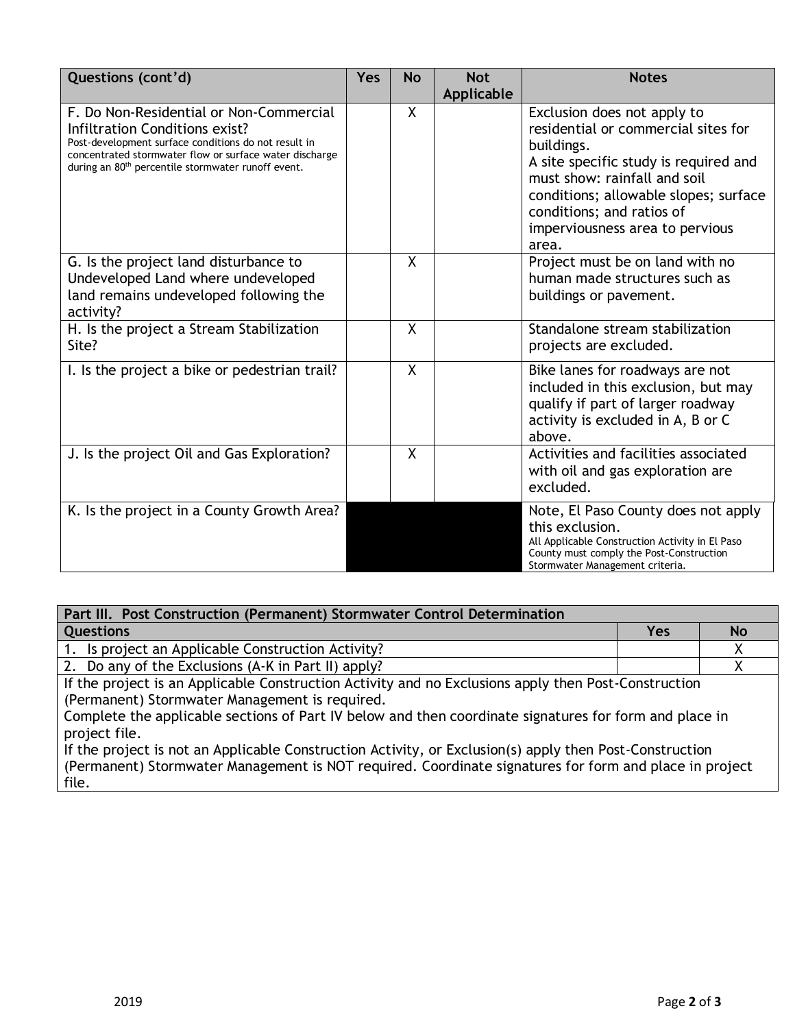| Questions (cont'd)                                                                                                                                                                                                                                             | Yes | <b>No</b> | <b>Not</b><br>Applicable | <b>Notes</b>                                                                                                                                                                                                                                                                |
|----------------------------------------------------------------------------------------------------------------------------------------------------------------------------------------------------------------------------------------------------------------|-----|-----------|--------------------------|-----------------------------------------------------------------------------------------------------------------------------------------------------------------------------------------------------------------------------------------------------------------------------|
| F. Do Non-Residential or Non-Commercial<br>Infiltration Conditions exist?<br>Post-development surface conditions do not result in<br>concentrated stormwater flow or surface water discharge<br>during an 80 <sup>th</sup> percentile stormwater runoff event. |     | X         |                          | Exclusion does not apply to<br>residential or commercial sites for<br>buildings.<br>A site specific study is required and<br>must show: rainfall and soil<br>conditions; allowable slopes; surface<br>conditions; and ratios of<br>imperviousness area to pervious<br>area. |
| G. Is the project land disturbance to<br>Undeveloped Land where undeveloped<br>land remains undeveloped following the<br>activity?                                                                                                                             |     | X         |                          | Project must be on land with no<br>human made structures such as<br>buildings or pavement.                                                                                                                                                                                  |
| H. Is the project a Stream Stabilization<br>Site?                                                                                                                                                                                                              |     | X         |                          | Standalone stream stabilization<br>projects are excluded.                                                                                                                                                                                                                   |
| I. Is the project a bike or pedestrian trail?                                                                                                                                                                                                                  |     | $\sf X$   |                          | Bike lanes for roadways are not<br>included in this exclusion, but may<br>qualify if part of larger roadway<br>activity is excluded in A, B or C<br>above.                                                                                                                  |
| J. Is the project Oil and Gas Exploration?                                                                                                                                                                                                                     |     | X         |                          | Activities and facilities associated<br>with oil and gas exploration are<br>excluded.                                                                                                                                                                                       |
| K. Is the project in a County Growth Area?                                                                                                                                                                                                                     |     |           |                          | Note, El Paso County does not apply<br>this exclusion.<br>All Applicable Construction Activity in El Paso<br>County must comply the Post-Construction<br>Stormwater Management criteria.                                                                                    |

| Part III. Post Construction (Permanent) Stormwater Control Determination |     |          |
|--------------------------------------------------------------------------|-----|----------|
| <b>Questions</b>                                                         | Yes | <b>N</b> |
| 1. Is project an Applicable Construction Activity?                       |     |          |
| 2. Do any of the Exclusions (A-K in Part II) apply?                      |     |          |

If the project is an Applicable Construction Activity and no Exclusions apply then Post-Construction (Permanent) Stormwater Management is required.

Complete the applicable sections of Part IV below and then coordinate signatures for form and place in project file.

If the project is not an Applicable Construction Activity, or Exclusion(s) apply then Post-Construction (Permanent) Stormwater Management is NOT required. Coordinate signatures for form and place in project file.